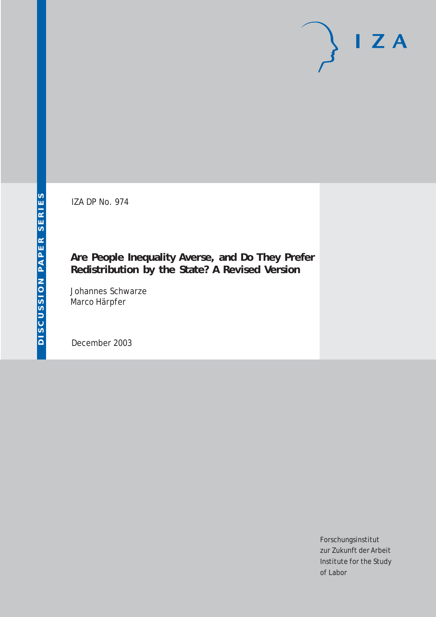IZA DP No. 974

## **Are People Inequality Averse, and Do They Prefer Redistribution by the State? A Revised Version**

Johannes Schwarze Marco Härpfer

December 2003

Forschungsinstitut zur Zukunft der Arbeit Institute for the Study of Labor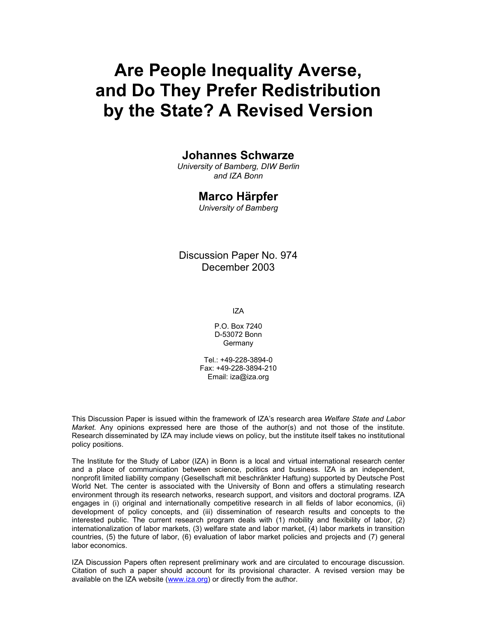# **Are People Inequality Averse, and Do They Prefer Redistribution by the State? A Revised Version**

### **Johannes Schwarze**

*University of Bamberg, DIW Berlin and IZA Bonn* 

#### **Marco Härpfer**

*University of Bamberg* 

Discussion Paper No. 974 December 2003

IZA

P.O. Box 7240 D-53072 Bonn **Germany** 

Tel.: +49-228-3894-0 Fax: +49-228-3894-210 Email: iza@iza.org

This Discussion Paper is issued within the framework of IZA's research area *Welfare State and Labor Market.* Any opinions expressed here are those of the author(s) and not those of the institute. Research disseminated by IZA may include views on policy, but the institute itself takes no institutional policy positions.

The Institute for the Study of Labor (IZA) in Bonn is a local and virtual international research center and a place of communication between science, politics and business. IZA is an independent, nonprofit limited liability company (Gesellschaft mit beschränkter Haftung) supported by Deutsche Post World Net. The center is associated with the University of Bonn and offers a stimulating research environment through its research networks, research support, and visitors and doctoral programs. IZA engages in (i) original and internationally competitive research in all fields of labor economics, (ii) development of policy concepts, and (iii) dissemination of research results and concepts to the interested public. The current research program deals with (1) mobility and flexibility of labor, (2) internationalization of labor markets, (3) welfare state and labor market, (4) labor markets in transition countries, (5) the future of labor, (6) evaluation of labor market policies and projects and (7) general labor economics.

IZA Discussion Papers often represent preliminary work and are circulated to encourage discussion. Citation of such a paper should account for its provisional character. A revised version may be available on the IZA website (www.iza.org) or directly from the author.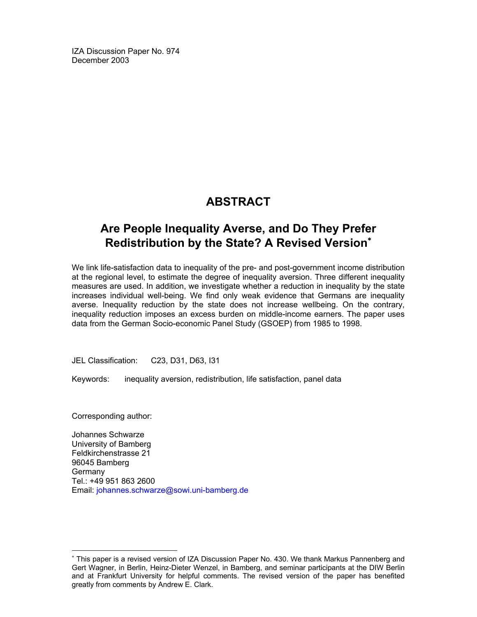IZA Discussion Paper No. 974 December 2003

## **ABSTRACT**

## **Are People Inequality Averse, and Do They Prefer Redistribution by the State? A Revised Version**<sup>∗</sup>

We link life-satisfaction data to inequality of the pre- and post-government income distribution at the regional level, to estimate the degree of inequality aversion. Three different inequality measures are used. In addition, we investigate whether a reduction in inequality by the state increases individual well-being. We find only weak evidence that Germans are inequality averse. Inequality reduction by the state does not increase wellbeing. On the contrary, inequality reduction imposes an excess burden on middle-income earners. The paper uses data from the German Socio-economic Panel Study (GSOEP) from 1985 to 1998.

JEL Classification: C23, D31, D63, I31

Keywords: inequality aversion, redistribution, life satisfaction, panel data

Corresponding author:

-

Johannes Schwarze University of Bamberg Feldkirchenstrasse 21 96045 Bamberg Germany Tel.: +49 951 863 2600 Email: johannes.schwarze@sowi.uni-bamberg.de

<sup>∗</sup> This paper is a revised version of IZA Discussion Paper No. 430. We thank Markus Pannenberg and Gert Wagner, in Berlin, Heinz-Dieter Wenzel, in Bamberg, and seminar participants at the DIW Berlin and at Frankfurt University for helpful comments. The revised version of the paper has benefited greatly from comments by Andrew E. Clark.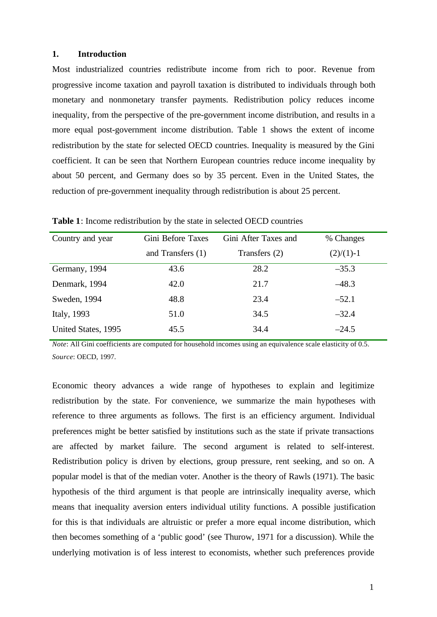#### **1. Introduction**

Most industrialized countries redistribute income from rich to poor. Revenue from progressive income taxation and payroll taxation is distributed to individuals through both monetary and nonmonetary transfer payments. Redistribution policy reduces income inequality, from the perspective of the pre-government income distribution, and results in a more equal post-government income distribution. Table 1 shows the extent of income redistribution by the state for selected OECD countries. Inequality is measured by the Gini coefficient. It can be seen that Northern European countries reduce income inequality by about 50 percent, and Germany does so by 35 percent. Even in the United States, the reduction of pre-government inequality through redistribution is about 25 percent.

| Country and year    | Gini Before Taxes | Gini After Taxes and | % Changes    |
|---------------------|-------------------|----------------------|--------------|
|                     | and Transfers (1) | Transfers (2)        | $(2)/(1)$ -1 |
| Germany, 1994       | 43.6              | 28.2                 | $-35.3$      |
| Denmark, 1994       | 42.0              | 21.7                 | $-48.3$      |
| Sweden, 1994        | 48.8              | 23.4                 | $-52.1$      |
| Italy, 1993         | 51.0              | 34.5                 | $-32.4$      |
| United States, 1995 | 45.5              | 34.4                 | $-24.5$      |

**Table 1**: Income redistribution by the state in selected OECD countries

*Note*: All Gini coefficients are computed for household incomes using an equivalence scale elasticity of 0.5. *Source*: OECD, 1997.

Economic theory advances a wide range of hypotheses to explain and legitimize redistribution by the state. For convenience, we summarize the main hypotheses with reference to three arguments as follows. The first is an efficiency argument. Individual preferences might be better satisfied by institutions such as the state if private transactions are affected by market failure. The second argument is related to self-interest. Redistribution policy is driven by elections, group pressure, rent seeking, and so on. A popular model is that of the median voter. Another is the theory of Rawls (1971). The basic hypothesis of the third argument is that people are intrinsically inequality averse, which means that inequality aversion enters individual utility functions. A possible justification for this is that individuals are altruistic or prefer a more equal income distribution, which then becomes something of a 'public good' (see Thurow, 1971 for a discussion). While the underlying motivation is of less interest to economists, whether such preferences provide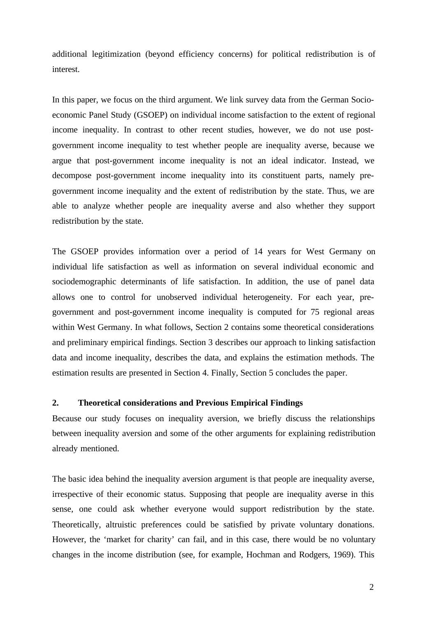additional legitimization (beyond efficiency concerns) for political redistribution is of interest.

In this paper, we focus on the third argument. We link survey data from the German Socioeconomic Panel Study (GSOEP) on individual income satisfaction to the extent of regional income inequality. In contrast to other recent studies, however, we do not use postgovernment income inequality to test whether people are inequality averse, because we argue that post-government income inequality is not an ideal indicator. Instead, we decompose post-government income inequality into its constituent parts, namely pregovernment income inequality and the extent of redistribution by the state. Thus, we are able to analyze whether people are inequality averse and also whether they support redistribution by the state.

The GSOEP provides information over a period of 14 years for West Germany on individual life satisfaction as well as information on several individual economic and sociodemographic determinants of life satisfaction. In addition, the use of panel data allows one to control for unobserved individual heterogeneity. For each year, pregovernment and post-government income inequality is computed for 75 regional areas within West Germany. In what follows, Section 2 contains some theoretical considerations and preliminary empirical findings. Section 3 describes our approach to linking satisfaction data and income inequality, describes the data, and explains the estimation methods. The estimation results are presented in Section 4. Finally, Section 5 concludes the paper.

#### **2. Theoretical considerations and Previous Empirical Findings**

Because our study focuses on inequality aversion, we briefly discuss the relationships between inequality aversion and some of the other arguments for explaining redistribution already mentioned.

The basic idea behind the inequality aversion argument is that people are inequality averse, irrespective of their economic status. Supposing that people are inequality averse in this sense, one could ask whether everyone would support redistribution by the state. Theoretically, altruistic preferences could be satisfied by private voluntary donations. However, the 'market for charity' can fail, and in this case, there would be no voluntary changes in the income distribution (see, for example, Hochman and Rodgers, 1969). This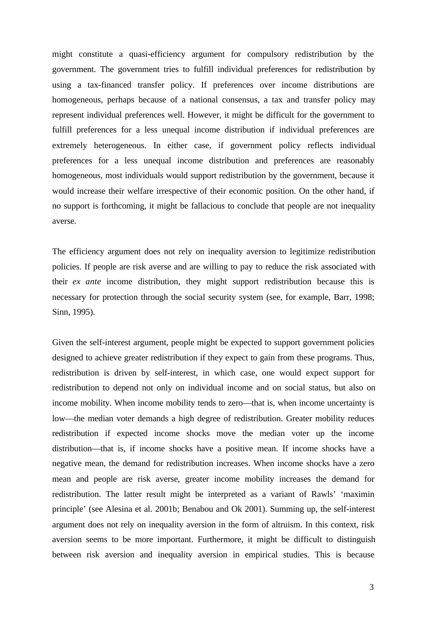might constitute a quasi-efficiency argument for compulsory redistribution by the government. The government tries to fulfill individual preferences for redistribution by using a tax-financed transfer policy. If preferences over income distributions are homogeneous, perhaps because of a national consensus, a tax and transfer policy may represent individual preferences well. However, it might be difficult for the government to fulfill preferences for a less unequal income distribution if individual preferences are extremely heterogeneous. In either case, if government policy reflects individual preferences for a less unequal income distribution and preferences are reasonably homogeneous, most individuals would support redistribution by the government, because it would increase their welfare irrespective of their economic position. On the other hand, if no support is forthcoming, it might be fallacious to conclude that people are not inequality averse.

The efficiency argument does not rely on inequality aversion to legitimize redistribution policies. If people are risk averse and are willing to pay to reduce the risk associated with their *ex ante* income distribution, they might support redistribution because this is necessary for protection through the social security system (see, for example, Barr, 1998; Sinn, 1995).

Given the self-interest argument, people might be expected to support government policies designed to achieve greater redistribution if they expect to gain from these programs. Thus, redistribution is driven by self-interest, in which case, one would expect support for redistribution to depend not only on individual income and on social status, but also on income mobility. When income mobility tends to zero—that is, when income uncertainty is low—the median voter demands a high degree of redistribution. Greater mobility reduces redistribution if expected income shocks move the median voter up the income distribution—that is, if income shocks have a positive mean. If income shocks have a negative mean, the demand for redistribution increases. When income shocks have a zero mean and people are risk averse, greater income mobility increases the demand for redistribution. The latter result might be interpreted as a variant of Rawls' 'maximin principle' (see Alesina et al. 2001b; Benabou and Ok 2001). Summing up, the self-interest argument does not rely on inequality aversion in the form of altruism. In this context, risk aversion seems to be more important. Furthermore, it might be difficult to distinguish between risk aversion and inequality aversion in empirical studies. This is because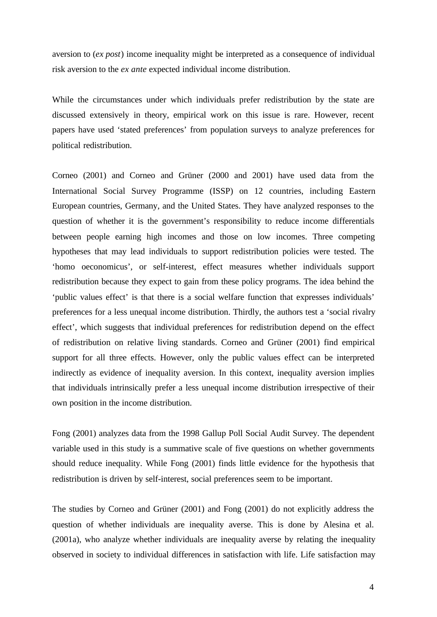aversion to (*ex post*) income inequality might be interpreted as a consequence of individual risk aversion to the *ex ante* expected individual income distribution.

While the circumstances under which individuals prefer redistribution by the state are discussed extensively in theory, empirical work on this issue is rare. However, recent papers have used 'stated preferences' from population surveys to analyze preferences for political redistribution.

Corneo (2001) and Corneo and Grüner (2000 and 2001) have used data from the International Social Survey Programme (ISSP) on 12 countries, including Eastern European countries, Germany, and the United States. They have analyzed responses to the question of whether it is the government's responsibility to reduce income differentials between people earning high incomes and those on low incomes. Three competing hypotheses that may lead individuals to support redistribution policies were tested. The 'homo oeconomicus', or self-interest, effect measures whether individuals support redistribution because they expect to gain from these policy programs. The idea behind the 'public values effect' is that there is a social welfare function that expresses individuals' preferences for a less unequal income distribution. Thirdly, the authors test a 'social rivalry effect', which suggests that individual preferences for redistribution depend on the effect of redistribution on relative living standards. Corneo and Grüner (2001) find empirical support for all three effects. However, only the public values effect can be interpreted indirectly as evidence of inequality aversion. In this context, inequality aversion implies that individuals intrinsically prefer a less unequal income distribution irrespective of their own position in the income distribution.

Fong (2001) analyzes data from the 1998 Gallup Poll Social Audit Survey. The dependent variable used in this study is a summative scale of five questions on whether governments should reduce inequality. While Fong (2001) finds little evidence for the hypothesis that redistribution is driven by self-interest, social preferences seem to be important.

The studies by Corneo and Grüner (2001) and Fong (2001) do not explicitly address the question of whether individuals are inequality averse. This is done by Alesina et al. (2001a), who analyze whether individuals are inequality averse by relating the inequality observed in society to individual differences in satisfaction with life. Life satisfaction may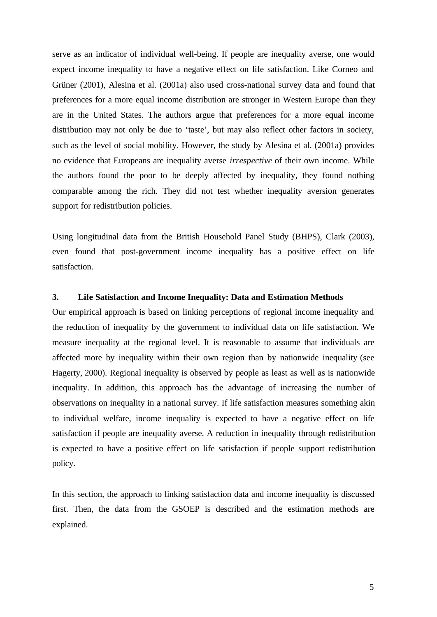serve as an indicator of individual well-being. If people are inequality averse, one would expect income inequality to have a negative effect on life satisfaction. Like Corneo and Grüner (2001), Alesina et al. (2001a) also used cross-national survey data and found that preferences for a more equal income distribution are stronger in Western Europe than they are in the United States. The authors argue that preferences for a more equal income distribution may not only be due to 'taste', but may also reflect other factors in society, such as the level of social mobility. However, the study by Alesina et al. (2001a) provides no evidence that Europeans are inequality averse *irrespective* of their own income. While the authors found the poor to be deeply affected by inequality, they found nothing comparable among the rich. They did not test whether inequality aversion generates support for redistribution policies.

Using longitudinal data from the British Household Panel Study (BHPS), Clark (2003), even found that post-government income inequality has a positive effect on life satisfaction.

#### **3. Life Satisfaction and Income Inequality: Data and Estimation Methods**

Our empirical approach is based on linking perceptions of regional income inequality and the reduction of inequality by the government to individual data on life satisfaction. We measure inequality at the regional level. It is reasonable to assume that individuals are affected more by inequality within their own region than by nationwide inequality (see Hagerty, 2000). Regional inequality is observed by people as least as well as is nationwide inequality. In addition, this approach has the advantage of increasing the number of observations on inequality in a national survey. If life satisfaction measures something akin to individual welfare, income inequality is expected to have a negative effect on life satisfaction if people are inequality averse. A reduction in inequality through redistribution is expected to have a positive effect on life satisfaction if people support redistribution policy.

In this section, the approach to linking satisfaction data and income inequality is discussed first. Then, the data from the GSOEP is described and the estimation methods are explained.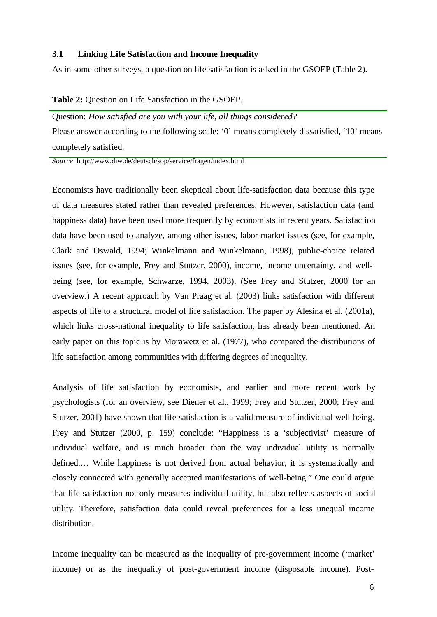#### **3.1 Linking Life Satisfaction and Income Inequality**

As in some other surveys, a question on life satisfaction is asked in the GSOEP (Table 2).

#### **Table 2:** Question on Life Satisfaction in the GSOEP.

Question: *How satisfied are you with your life, all things considered?* Please answer according to the following scale: '0' means completely dissatisfied, '10' means completely satisfied.

*Source*: http://www.diw.de/deutsch/sop/service/fragen/index.html

Economists have traditionally been skeptical about life-satisfaction data because this type of data measures stated rather than revealed preferences. However, satisfaction data (and happiness data) have been used more frequently by economists in recent years. Satisfaction data have been used to analyze, among other issues, labor market issues (see, for example, Clark and Oswald, 1994; Winkelmann and Winkelmann, 1998), public-choice related issues (see, for example, Frey and Stutzer, 2000), income, income uncertainty, and wellbeing (see, for example, Schwarze, 1994, 2003). (See Frey and Stutzer, 2000 for an overview.) A recent approach by Van Praag et al. (2003) links satisfaction with different aspects of life to a structural model of life satisfaction. The paper by Alesina et al. (2001a), which links cross-national inequality to life satisfaction, has already been mentioned. An early paper on this topic is by Morawetz et al. (1977), who compared the distributions of life satisfaction among communities with differing degrees of inequality.

Analysis of life satisfaction by economists, and earlier and more recent work by psychologists (for an overview, see Diener et al., 1999; Frey and Stutzer, 2000; Frey and Stutzer, 2001) have shown that life satisfaction is a valid measure of individual well-being. Frey and Stutzer (2000, p. 159) conclude: "Happiness is a 'subjectivist' measure of individual welfare, and is much broader than the way individual utility is normally defined.… While happiness is not derived from actual behavior, it is systematically and closely connected with generally accepted manifestations of well-being." One could argue that life satisfaction not only measures individual utility, but also reflects aspects of social utility. Therefore, satisfaction data could reveal preferences for a less unequal income distribution.

Income inequality can be measured as the inequality of pre-government income ('market' income) or as the inequality of post-government income (disposable income). Post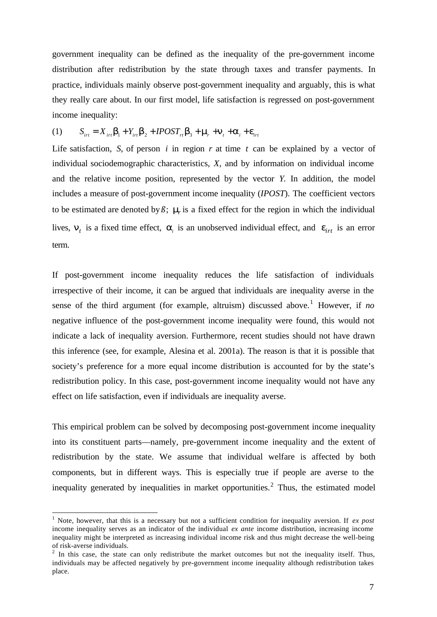government inequality can be defined as the inequality of the pre-government income distribution after redistribution by the state through taxes and transfer payments. In practice, individuals mainly observe post-government inequality and arguably, this is what they really care about. In our first model, life satisfaction is regressed on post-government income inequality:

(1) 
$$
S_{int} = X_{int} \mathbf{b}_1 + Y_{int} \mathbf{b}_2 + IPOST_{rt} \mathbf{b}_3 + \mathbf{m}_t + \mathbf{n}_t + \mathbf{a}_i + \mathbf{e}_{int}
$$

Life satisfaction, *S*, of person *i* in region *r* at time *t* can be explained by a vector of individual sociodemographic characteristics, *X*, and by information on individual income and the relative income position, represented by the vector *Y*. In addition, the model includes a measure of post-government income inequality (*IPOST*). The coefficient vectors to be estimated are denoted by  $\beta$ ;  $m$ <sub>*r*</sub> is a fixed effect for the region in which the individual lives,  $n_t$  is a fixed time effect,  $a_t$  is an unobserved individual effect, and  $e_{irt}$  is an error term.

If post-government income inequality reduces the life satisfaction of individuals irrespective of their income, it can be argued that individuals are inequality averse in the sense of the third argument (for example, altruism) discussed above.<sup>1</sup> However, if *no* negative influence of the post-government income inequality were found, this would not indicate a lack of inequality aversion. Furthermore, recent studies should not have drawn this inference (see, for example, Alesina et al. 2001a). The reason is that it is possible that society's preference for a more equal income distribution is accounted for by the state's redistribution policy. In this case, post-government income inequality would not have any effect on life satisfaction, even if individuals are inequality averse.

This empirical problem can be solved by decomposing post-government income inequality into its constituent parts—namely, pre-government income inequality and the extent of redistribution by the state. We assume that individual welfare is affected by both components, but in different ways. This is especially true if people are averse to the inequality generated by inequalities in market opportunities.<sup>2</sup> Thus, the estimated model

 1 Note, however, that this is a necessary but not a sufficient condition for inequality aversion. If *ex post* income inequality serves as an indicator of the individual *ex ante* income distribution, increasing income inequality might be interpreted as increasing individual income risk and thus might decrease the well-being of risk-averse individuals.

 $2$  In this case, the state can only redistribute the market outcomes but not the inequality itself. Thus, individuals may be affected negatively by pre-government income inequality although redistribution takes place.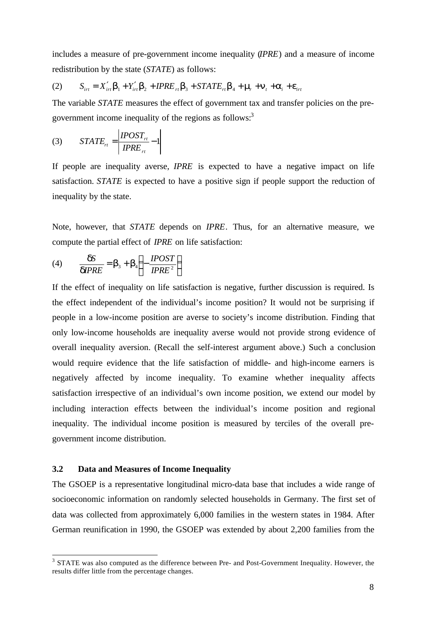includes a measure of pre-government income inequality (*IPRE*) and a measure of income redistribution by the state (*STATE*) as follows:

(2) 
$$
S_{int} = X'_{int} \mathbf{b}_1 + Y'_{int} \mathbf{b}_2 + IPRE_{rt} \mathbf{b}_3 + STATE_{rt} \mathbf{b}_4 + \mathbf{m}_t + \mathbf{a}_t + \mathbf{e}_{int}
$$

The variable *STATE* measures the effect of government tax and transfer policies on the pregovernment income inequality of the regions as follows:<sup>3</sup>

$$
(3) \qquad STATE_{rt} = \left| \frac{IPOST_{rt}}{IPRE_{rt}} - 1 \right|
$$

If people are inequality averse, *IPRE* is expected to have a negative impact on life satisfaction. *STATE* is expected to have a positive sign if people support the reduction of inequality by the state.

Note, however, that *STATE* depends on *IPRE*. Thus, for an alternative measure, we compute the partial effect of *IPRE* on life satisfaction:

(4) 
$$
\frac{dS}{dIPRE} = b_3 + b_4 \left( -\frac{IPOST}{IPRE^2} \right)
$$

If the effect of inequality on life satisfaction is negative, further discussion is required. Is the effect independent of the individual's income position? It would not be surprising if people in a low-income position are averse to society's income distribution. Finding that only low-income households are inequality averse would not provide strong evidence of overall inequality aversion. (Recall the self-interest argument above.) Such a conclusion would require evidence that the life satisfaction of middle- and high-income earners is negatively affected by income inequality. To examine whether inequality affects satisfaction irrespective of an individual's own income position, we extend our model by including interaction effects between the individual's income position and regional inequality. The individual income position is measured by terciles of the overall pregovernment income distribution.

#### **3.2 Data and Measures of Income Inequality**

l

The GSOEP is a representative longitudinal micro-data base that includes a wide range of socioeconomic information on randomly selected households in Germany. The first set of data was collected from approximately 6,000 families in the western states in 1984. After German reunification in 1990, the GSOEP was extended by about 2,200 families from the

 $3$  STATE was also computed as the difference between Pre- and Post-Government Inequality. However, the results differ little from the percentage changes.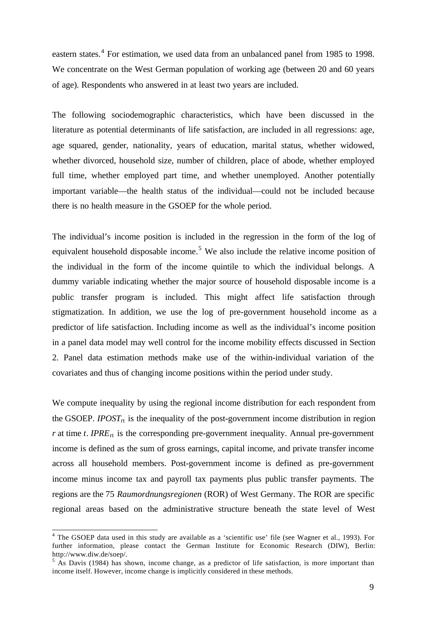eastern states.<sup>4</sup> For estimation, we used data from an unbalanced panel from 1985 to 1998. We concentrate on the West German population of working age (between 20 and 60 years of age). Respondents who answered in at least two years are included.

The following sociodemographic characteristics, which have been discussed in the literature as potential determinants of life satisfaction, are included in all regressions: age, age squared, gender, nationality, years of education, marital status, whether widowed, whether divorced, household size, number of children, place of abode, whether employed full time, whether employed part time, and whether unemployed. Another potentially important variable—the health status of the individual—could not be included because there is no health measure in the GSOEP for the whole period.

The individual's income position is included in the regression in the form of the log of equivalent household disposable income.<sup>5</sup> We also include the relative income position of the individual in the form of the income quintile to which the individual belongs. A dummy variable indicating whether the major source of household disposable income is a public transfer program is included. This might affect life satisfaction through stigmatization. In addition, we use the log of pre-government household income as a predictor of life satisfaction. Including income as well as the individual's income position in a panel data model may well control for the income mobility effects discussed in Section 2. Panel data estimation methods make use of the within-individual variation of the covariates and thus of changing income positions within the period under study.

We compute inequality by using the regional income distribution for each respondent from the GSOEP. *IPOST*<sub>rt</sub> is the inequality of the post-government income distribution in region  $r$  at time *t*. *IPRE*<sub>rt</sub> is the corresponding pre-government inequality. Annual pre-government income is defined as the sum of gross earnings, capital income, and private transfer income across all household members. Post-government income is defined as pre-government income minus income tax and payroll tax payments plus public transfer payments. The regions are the 75 *Raumordnungsregionen* (ROR) of West Germany. The ROR are specific regional areas based on the administrative structure beneath the state level of West

l

<sup>&</sup>lt;sup>4</sup> The GSOEP data used in this study are available as a 'scientific use' file (see Wagner et al., 1993). For further information, please contact the German Institute for Economic Research (DIW), Berlin: http://www.diw.de/soep/.

<sup>&</sup>lt;sup>5</sup> As Davis (1984) has shown, income change, as a predictor of life satisfaction, is more important than income itself. However, income change is implicitly considered in these methods.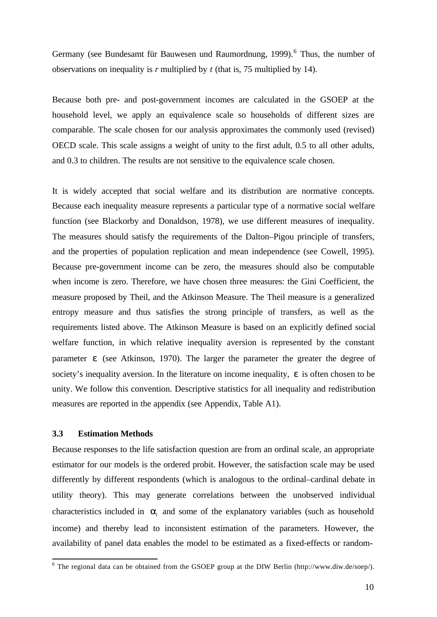Germany (see Bundesamt für Bauwesen und Raumordnung, 1999).<sup>6</sup> Thus, the number of observations on inequality is *r* multiplied by *t* (that is, 75 multiplied by 14).

Because both pre- and post-government incomes are calculated in the GSOEP at the household level, we apply an equivalence scale so households of different sizes are comparable. The scale chosen for our analysis approximates the commonly used (revised) OECD scale. This scale assigns a weight of unity to the first adult, 0.5 to all other adults, and 0.3 to children. The results are not sensitive to the equivalence scale chosen.

It is widely accepted that social welfare and its distribution are normative concepts. Because each inequality measure represents a particular type of a normative social welfare function (see Blackorby and Donaldson, 1978), we use different measures of inequality. The measures should satisfy the requirements of the Dalton–Pigou principle of transfers, and the properties of population replication and mean independence (see Cowell, 1995). Because pre-government income can be zero, the measures should also be computable when income is zero. Therefore, we have chosen three measures: the Gini Coefficient, the measure proposed by Theil, and the Atkinson Measure. The Theil measure is a generalized entropy measure and thus satisfies the strong principle of transfers, as well as the requirements listed above. The Atkinson Measure is based on an explicitly defined social welfare function, in which relative inequality aversion is represented by the constant parameter *e* (see Atkinson, 1970). The larger the parameter the greater the degree of society's inequality aversion. In the literature on income inequality, *e* is often chosen to be unity. We follow this convention. Descriptive statistics for all inequality and redistribution measures are reported in the appendix (see Appendix, Table A1).

#### **3.3 Estimation Methods**

l

Because responses to the life satisfaction question are from an ordinal scale, an appropriate estimator for our models is the ordered probit. However, the satisfaction scale may be used differently by different respondents (which is analogous to the ordinal–cardinal debate in utility theory). This may generate correlations between the unobserved individual characteristics included in  $a_i$  and some of the explanatory variables (such as household income) and thereby lead to inconsistent estimation of the parameters. However, the availability of panel data enables the model to be estimated as a fixed-effects or random-

 $6$  The regional data can be obtained from the GSOEP group at the DIW Berlin (http://www.diw.de/soep/).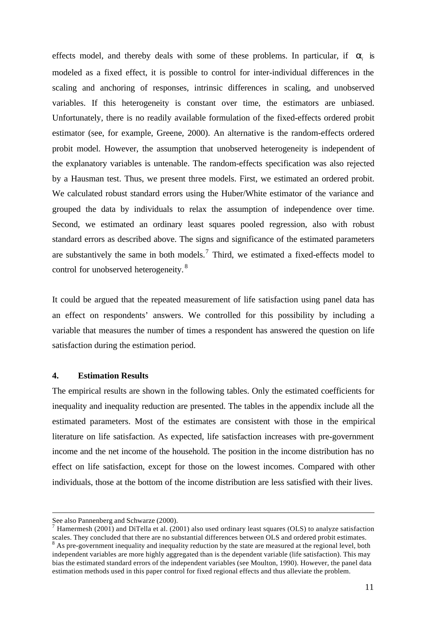effects model, and thereby deals with some of these problems. In particular, if  $a_i$  is modeled as a fixed effect, it is possible to control for inter-individual differences in the scaling and anchoring of responses, intrinsic differences in scaling, and unobserved variables. If this heterogeneity is constant over time, the estimators are unbiased. Unfortunately, there is no readily available formulation of the fixed-effects ordered probit estimator (see, for example, Greene, 2000). An alternative is the random-effects ordered probit model. However, the assumption that unobserved heterogeneity is independent of the explanatory variables is untenable. The random-effects specification was also rejected by a Hausman test. Thus, we present three models. First, we estimated an ordered probit. We calculated robust standard errors using the Huber/White estimator of the variance and grouped the data by individuals to relax the assumption of independence over time. Second, we estimated an ordinary least squares pooled regression, also with robust standard errors as described above. The signs and significance of the estimated parameters are substantively the same in both models.<sup>7</sup> Third, we estimated a fixed-effects model to control for unobserved heterogeneity.<sup>8</sup>

It could be argued that the repeated measurement of life satisfaction using panel data has an effect on respondents' answers. We controlled for this possibility by including a variable that measures the number of times a respondent has answered the question on life satisfaction during the estimation period.

#### **4. Estimation Results**

The empirical results are shown in the following tables. Only the estimated coefficients for inequality and inequality reduction are presented. The tables in the appendix include all the estimated parameters. Most of the estimates are consistent with those in the empirical literature on life satisfaction. As expected, life satisfaction increases with pre-government income and the net income of the household. The position in the income distribution has no effect on life satisfaction, except for those on the lowest incomes. Compared with other individuals, those at the bottom of the income distribution are less satisfied with their lives.

l

See also Pannenberg and Schwarze (2000).

<sup>&</sup>lt;sup>7</sup> Hamermesh (2001) and DiTella et al. (2001) also used ordinary least squares (OLS) to analyze satisfaction scales. They concluded that there are no substantial differences between OLS and ordered probit estimates.<br><sup>8</sup> As pre-government inequality and inequality reduction by the state are measured at the regional level, both independent variables are more highly aggregated than is the dependent variable (life satisfaction). This may bias the estimated standard errors of the independent variables (see Moulton, 1990). However, the panel data estimation methods used in this paper control for fixed regional effects and thus alleviate the problem.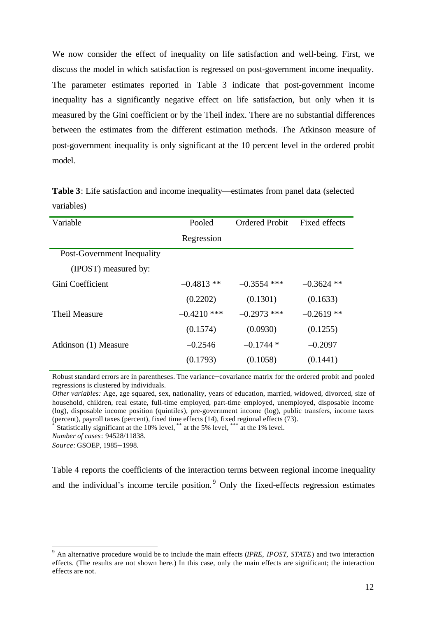We now consider the effect of inequality on life satisfaction and well-being. First, we discuss the model in which satisfaction is regressed on post-government income inequality. The parameter estimates reported in Table 3 indicate that post-government income inequality has a significantly negative effect on life satisfaction, but only when it is measured by the Gini coefficient or by the Theil index. There are no substantial differences between the estimates from the different estimation methods. The Atkinson measure of post-government inequality is only significant at the 10 percent level in the ordered probit model.

**Table 3**: Life satisfaction and income inequality—estimates from panel data (selected variables)

| Variable                   | Pooled        | <b>Ordered Probit</b> | Fixed effects |
|----------------------------|---------------|-----------------------|---------------|
|                            | Regression    |                       |               |
| Post-Government Inequality |               |                       |               |
| (IPOST) measured by:       |               |                       |               |
| Gini Coefficient           | $-0.4813$ **  | $-0.3554$ ***         | $-0.3624$ **  |
|                            | (0.2202)      | (0.1301)              | (0.1633)      |
| Theil Measure              | $-0.4210$ *** | $-0.2973$ ***         | $-0.2619**$   |
|                            | (0.1574)      | (0.0930)              | (0.1255)      |
| Atkinson (1) Measure       | $-0.2546$     | $-0.1744*$            | $-0.2097$     |
|                            | (0.1793)      | (0.1058)              | (0.1441)      |

Robust standard errors are in parentheses. The variance–covariance matrix for the ordered probit and pooled regressions is clustered by individuals.

*Other variables:* Age, age squared, sex, nationality, years of education, married, widowed, divorced, size of household, children, real estate, full-time employed, part-time employed, unemployed, disposable income (log), disposable income position (quintiles), pre-government income (log), public transfers, income taxes (percent), payroll taxes (percent), fixed time effects (14), fixed regional effects (73).

\* Statistically significant at the 10% level,<sup>\*\*</sup> at the 5% level,<sup>\*\*\*</sup> at the 1% level.

*Number of cases*: 94528/11838.

*Source:* GSOEP, 1985–1998.

Table 4 reports the coefficients of the interaction terms between regional income inequality and the individual's income tercile position.<sup>9</sup> Only the fixed-effects regression estimates

 9 An alternative procedure would be to include the main effects (*IPRE*, *IPOST*, *STATE*) and two interaction effects. (The results are not shown here.) In this case, only the main effects are significant; the interaction effects are not.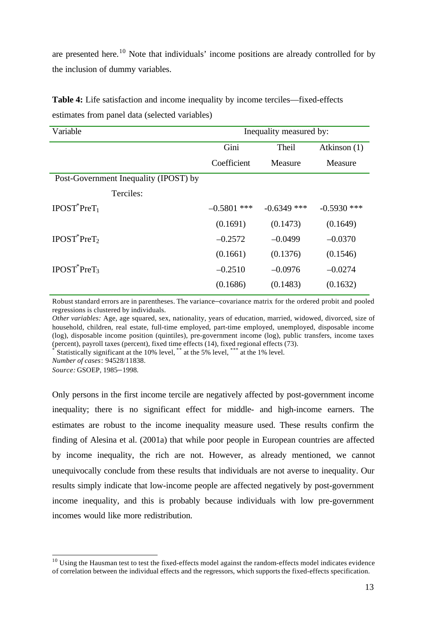are presented here.<sup>10</sup> Note that individuals' income positions are already controlled for by the inclusion of dummy variables.

| Variable                              | Inequality measured by: |               |               |
|---------------------------------------|-------------------------|---------------|---------------|
|                                       | Gini                    | Theil         | Atkinson (1)  |
|                                       | Coefficient             | Measure       | Measure       |
| Post-Government Inequality (IPOST) by |                         |               |               |
| Terciles:                             |                         |               |               |
| $IPOST^*PreT_1$                       | $-0.5801$ ***           | $-0.6349$ *** | $-0.5930$ *** |
|                                       | (0.1691)                | (0.1473)      | (0.1649)      |
| $IPOST^*PreT_2$                       | $-0.2572$               | $-0.0499$     | $-0.0370$     |
|                                       | (0.1661)                | (0.1376)      | (0.1546)      |
| $IPOST^*PreT_3$                       | $-0.2510$               | $-0.0976$     | $-0.0274$     |
|                                       | (0.1686)                | (0.1483)      | (0.1632)      |

**Table 4:** Life satisfaction and income inequality by income terciles—fixed-effects estimates from panel data (selected variables)

Robust standard errors are in parentheses. The variance–covariance matrix for the ordered probit and pooled regressions is clustered by individuals.

*Other variables:* Age, age squared, sex, nationality, years of education, married, widowed, divorced, size of household, children, real estate, full-time employed, part-time employed, unemployed, disposable income (log), disposable income position (quintiles), pre-government income (log), public transfers, income taxes (percent), payroll taxes (percent), fixed time effects (14), fixed regional effects (73).

\* Statistically significant at the 10% level, \*\*\* at the 5% level, \*\*\* at the 1% level.

*Number of cases*: 94528/11838.

*Source:* GSOEP, 1985–1998.

l

Only persons in the first income tercile are negatively affected by post-government income inequality; there is no significant effect for middle- and high-income earners. The estimates are robust to the income inequality measure used. These results confirm the finding of Alesina et al. (2001a) that while poor people in European countries are affected by income inequality, the rich are not. However, as already mentioned, we cannot unequivocally conclude from these results that individuals are not averse to inequality. Our results simply indicate that low-income people are affected negatively by post-government income inequality, and this is probably because individuals with low pre-government incomes would like more redistribution.

<sup>&</sup>lt;sup>10</sup> Using the Hausman test to test the fixed-effects model against the random-effects model indicates evidence of correlation between the individual effects and the regressors, which supports the fixed-effects specification.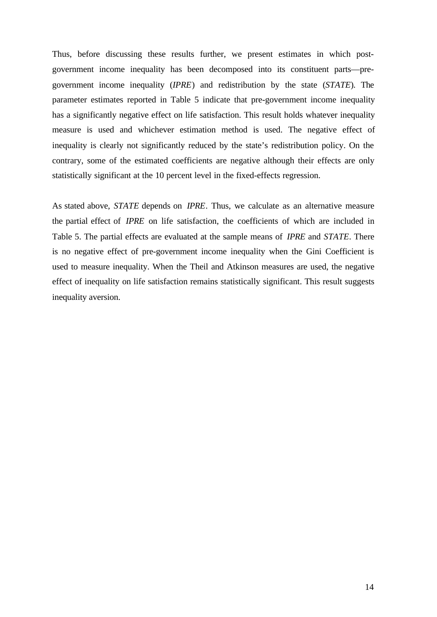Thus, before discussing these results further, we present estimates in which postgovernment income inequality has been decomposed into its constituent parts—pregovernment income inequality (*IPRE*) and redistribution by the state (*STATE*). The parameter estimates reported in Table 5 indicate that pre-government income inequality has a significantly negative effect on life satisfaction. This result holds whatever inequality measure is used and whichever estimation method is used. The negative effect of inequality is clearly not significantly reduced by the state's redistribution policy. On the contrary, some of the estimated coefficients are negative although their effects are only statistically significant at the 10 percent level in the fixed-effects regression.

As stated above, *STATE* depends on *IPRE*. Thus, we calculate as an alternative measure the partial effect of *IPRE* on life satisfaction, the coefficients of which are included in Table 5. The partial effects are evaluated at the sample means of *IPRE* and *STATE*. There is no negative effect of pre-government income inequality when the Gini Coefficient is used to measure inequality. When the Theil and Atkinson measures are used, the negative effect of inequality on life satisfaction remains statistically significant. This result suggests inequality aversion.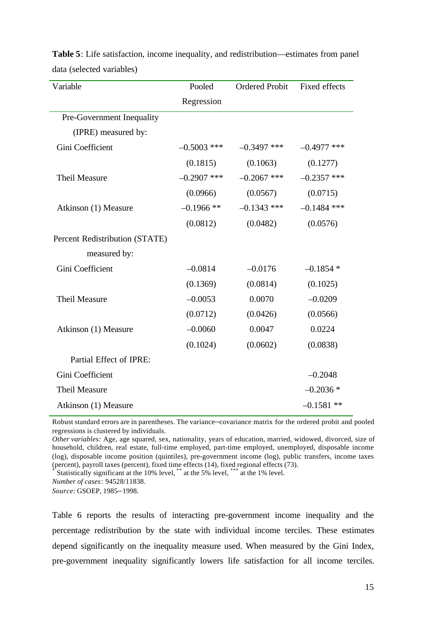| Variable                       | Pooled        | <b>Ordered Probit</b> | Fixed effects |
|--------------------------------|---------------|-----------------------|---------------|
|                                | Regression    |                       |               |
| Pre-Government Inequality      |               |                       |               |
| (IPRE) measured by:            |               |                       |               |
| Gini Coefficient               | $-0.5003$ *** | $-0.3497$ ***         | $-0.4977$ *** |
|                                | (0.1815)      | (0.1063)              | (0.1277)      |
| <b>Theil Measure</b>           | $-0.2907$ *** | $-0.2067$ ***         | $-0.2357$ *** |
|                                | (0.0966)      | (0.0567)              | (0.0715)      |
| Atkinson (1) Measure           | $-0.1966$ **  | $-0.1343$ ***         | $-0.1484$ *** |
|                                | (0.0812)      | (0.0482)              | (0.0576)      |
| Percent Redistribution (STATE) |               |                       |               |
| measured by:                   |               |                       |               |
| Gini Coefficient               | $-0.0814$     | $-0.0176$             | $-0.1854*$    |
|                                | (0.1369)      | (0.0814)              | (0.1025)      |
| <b>Theil Measure</b>           | $-0.0053$     | 0.0070                | $-0.0209$     |
|                                | (0.0712)      | (0.0426)              | (0.0566)      |
| Atkinson (1) Measure           | $-0.0060$     | 0.0047                | 0.0224        |
|                                | (0.1024)      | (0.0602)              | (0.0838)      |
| Partial Effect of IPRE:        |               |                       |               |
| Gini Coefficient               |               |                       | $-0.2048$     |
| <b>Theil Measure</b>           |               |                       | $-0.2036*$    |
| Atkinson (1) Measure           |               |                       | $-0.1581$ **  |

**Table 5**: Life satisfaction, income inequality, and redistribution—estimates from panel data (selected variables)

Robust standard errors are in parentheses. The variance–covariance matrix for the ordered probit and pooled regressions is clustered by individuals.

*Other variables:* Age, age squared, sex, nationality, years of education, married, widowed, divorced, size of household, children, real estate, full-time employed, part-time employed, unemployed, disposable income (log), disposable income position (quintiles), pre-government income (log), public transfers, income taxes (percent), payroll taxes (percent), fixed time effects (14), fixed regional effects (73).

Statistically significant at the 10% level, \*\* at the 5% level, \*\*\* at the 1% level.

*Number of cases*: 94528/11838.

*Source:* GSOEP, 1985–1998.

Table 6 reports the results of interacting pre-government income inequality and the percentage redistribution by the state with individual income terciles. These estimates depend significantly on the inequality measure used. When measured by the Gini Index, pre-government inequality significantly lowers life satisfaction for all income terciles.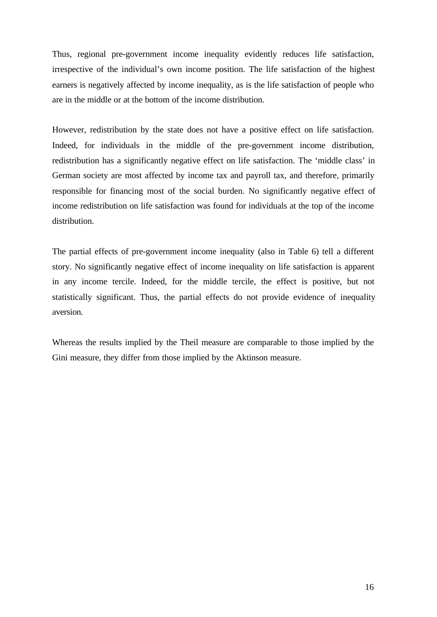Thus, regional pre-government income inequality evidently reduces life satisfaction, irrespective of the individual's own income position. The life satisfaction of the highest earners is negatively affected by income inequality, as is the life satisfaction of people who are in the middle or at the bottom of the income distribution.

However, redistribution by the state does not have a positive effect on life satisfaction. Indeed, for individuals in the middle of the pre-government income distribution, redistribution has a significantly negative effect on life satisfaction. The 'middle class' in German society are most affected by income tax and payroll tax, and therefore, primarily responsible for financing most of the social burden. No significantly negative effect of income redistribution on life satisfaction was found for individuals at the top of the income distribution.

The partial effects of pre-government income inequality (also in Table 6) tell a different story. No significantly negative effect of income inequality on life satisfaction is apparent in any income tercile. Indeed, for the middle tercile, the effect is positive, but not statistically significant. Thus, the partial effects do not provide evidence of inequality aversion.

Whereas the results implied by the Theil measure are comparable to those implied by the Gini measure, they differ from those implied by the Aktinson measure.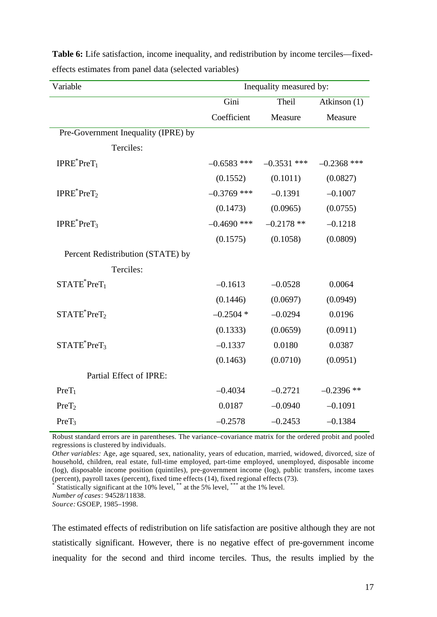| Variable                            | Inequality measured by: |               |               |
|-------------------------------------|-------------------------|---------------|---------------|
|                                     | Gini                    | Theil         | Atkinson (1)  |
|                                     | Coefficient             | Measure       | Measure       |
| Pre-Government Inequality (IPRE) by |                         |               |               |
| Terciles:                           |                         |               |               |
| $IPRE^*PreT_1$                      | $-0.6583$ ***           | $-0.3531$ *** | $-0.2368$ *** |
|                                     | (0.1552)                | (0.1011)      | (0.0827)      |
| IPRE <sup>*</sup> PreT <sub>2</sub> | $-0.3769$ ***           | $-0.1391$     | $-0.1007$     |
|                                     | (0.1473)                | (0.0965)      | (0.0755)      |
| $IPRE^*PreT_3$                      | $-0.4690$ ***           | $-0.2178**$   | $-0.1218$     |
|                                     | (0.1575)                | (0.1058)      | (0.0809)      |
| Percent Redistribution (STATE) by   |                         |               |               |
| Terciles:                           |                         |               |               |
| $STATE^*PreT_1$                     | $-0.1613$               | $-0.0528$     | 0.0064        |
|                                     | (0.1446)                | (0.0697)      | (0.0949)      |
| $STATE^*Prefix_2$                   | $-0.2504*$              | $-0.0294$     | 0.0196        |
|                                     | (0.1333)                | (0.0659)      | (0.0911)      |
| $STATE^*Pref_3$                     | $-0.1337$               | 0.0180        | 0.0387        |
|                                     | (0.1463)                | (0.0710)      | (0.0951)      |
| Partial Effect of IPRE:             |                         |               |               |
| $PreT_1$                            | $-0.4034$               | $-0.2721$     | $-0.2396$ **  |
| PreT <sub>2</sub>                   | 0.0187                  | $-0.0940$     | $-0.1091$     |
| PreT <sub>3</sub>                   | $-0.2578$               | $-0.2453$     | $-0.1384$     |

**Table 6:** Life satisfaction, income inequality, and redistribution by income terciles—fixedeffects estimates from panel data (selected variables)

Robust standard errors are in parentheses. The variance–covariance matrix for the ordered probit and pooled regressions is clustered by individuals.

*Other variables:* Age, age squared, sex, nationality, years of education, married, widowed, divorced, size of household, children, real estate, full-time employed, part-time employed, unemployed, disposable income (log), disposable income position (quintiles), pre-government income (log), public transfers, income taxes (percent), payroll taxes (percent), fixed time effects (14), fixed regional effects (73).

\* Statistically significant at the 10% level, \*\*\* at the 5% level, \*\*\* at the 1% level.

*Number of cases*: 94528/11838.

*Source:* GSOEP, 1985–1998.

The estimated effects of redistribution on life satisfaction are positive although they are not statistically significant. However, there is no negative effect of pre-government income inequality for the second and third income terciles. Thus, the results implied by the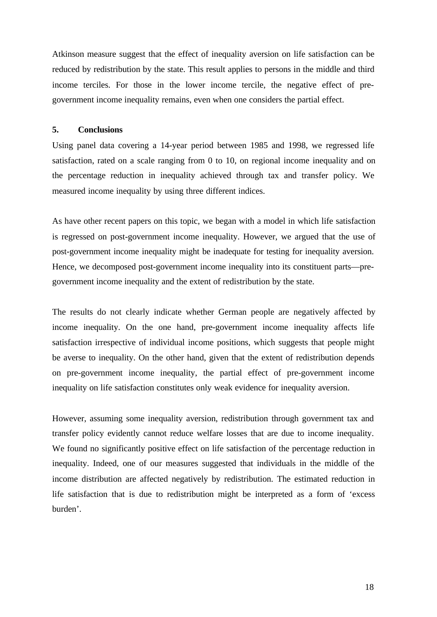Atkinson measure suggest that the effect of inequality aversion on life satisfaction can be reduced by redistribution by the state. This result applies to persons in the middle and third income terciles. For those in the lower income tercile, the negative effect of pregovernment income inequality remains, even when one considers the partial effect.

#### **5. Conclusions**

Using panel data covering a 14-year period between 1985 and 1998, we regressed life satisfaction, rated on a scale ranging from 0 to 10, on regional income inequality and on the percentage reduction in inequality achieved through tax and transfer policy. We measured income inequality by using three different indices.

As have other recent papers on this topic, we began with a model in which life satisfaction is regressed on post-government income inequality. However, we argued that the use of post-government income inequality might be inadequate for testing for inequality aversion. Hence, we decomposed post-government income inequality into its constituent parts—pregovernment income inequality and the extent of redistribution by the state.

The results do not clearly indicate whether German people are negatively affected by income inequality. On the one hand, pre-government income inequality affects life satisfaction irrespective of individual income positions, which suggests that people might be averse to inequality. On the other hand, given that the extent of redistribution depends on pre-government income inequality, the partial effect of pre-government income inequality on life satisfaction constitutes only weak evidence for inequality aversion.

However, assuming some inequality aversion, redistribution through government tax and transfer policy evidently cannot reduce welfare losses that are due to income inequality. We found no significantly positive effect on life satisfaction of the percentage reduction in inequality. Indeed, one of our measures suggested that individuals in the middle of the income distribution are affected negatively by redistribution. The estimated reduction in life satisfaction that is due to redistribution might be interpreted as a form of 'excess burden'.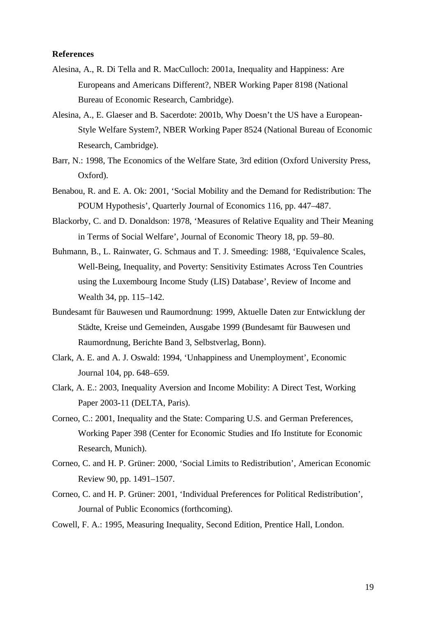#### **References**

- Alesina, A., R. Di Tella and R. MacCulloch: 2001a, Inequality and Happiness: Are Europeans and Americans Different?, NBER Working Paper 8198 (National Bureau of Economic Research, Cambridge).
- Alesina, A., E. Glaeser and B. Sacerdote: 2001b, Why Doesn't the US have a European-Style Welfare System?, NBER Working Paper 8524 (National Bureau of Economic Research, Cambridge).
- Barr, N.: 1998, The Economics of the Welfare State, 3rd edition (Oxford University Press, Oxford).
- Benabou, R. and E. A. Ok: 2001, 'Social Mobility and the Demand for Redistribution: The POUM Hypothesis', Quarterly Journal of Economics 116, pp. 447–487.
- Blackorby, C. and D. Donaldson: 1978, 'Measures of Relative Equality and Their Meaning in Terms of Social Welfare', Journal of Economic Theory 18, pp. 59–80.
- Buhmann, B., L. Rainwater, G. Schmaus and T. J. Smeeding: 1988, 'Equivalence Scales, Well-Being, Inequality, and Poverty: Sensitivity Estimates Across Ten Countries using the Luxembourg Income Study (LIS) Database', Review of Income and Wealth 34, pp. 115–142.
- Bundesamt für Bauwesen und Raumordnung: 1999, Aktuelle Daten zur Entwicklung der Städte, Kreise und Gemeinden, Ausgabe 1999 (Bundesamt für Bauwesen und Raumordnung, Berichte Band 3, Selbstverlag, Bonn).
- Clark, A. E. and A. J. Oswald: 1994, 'Unhappiness and Unemployment', Economic Journal 104, pp. 648–659.
- Clark, A. E.: 2003, Inequality Aversion and Income Mobility: A Direct Test, Working Paper 2003-11 (DELTA, Paris).
- Corneo, C.: 2001, Inequality and the State: Comparing U.S. and German Preferences, Working Paper 398 (Center for Economic Studies and Ifo Institute for Economic Research, Munich).
- Corneo, C. and H. P. Grüner: 2000, 'Social Limits to Redistribution', American Economic Review 90, pp. 1491–1507.
- Corneo, C. and H. P. Grüner: 2001, 'Individual Preferences for Political Redistribution', Journal of Public Economics (forthcoming).
- Cowell, F. A.: 1995, Measuring Inequality, Second Edition, Prentice Hall, London.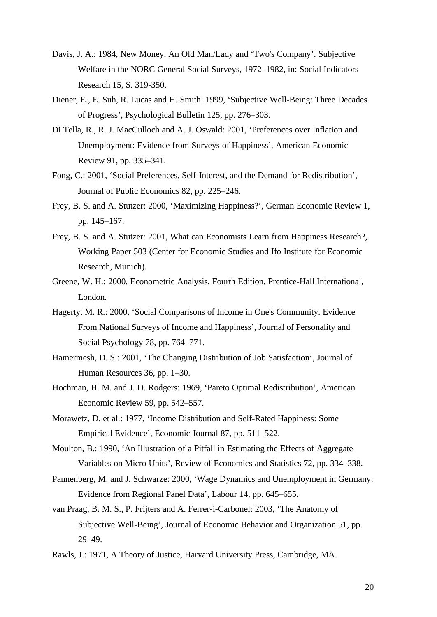- Davis, J. A.: 1984, New Money, An Old Man/Lady and 'Two's Company'. Subjective Welfare in the NORC General Social Surveys, 1972–1982, in: Social Indicators Research 15, S. 319-350.
- Diener, E., E. Suh, R. Lucas and H. Smith: 1999, 'Subjective Well-Being: Three Decades of Progress', Psychological Bulletin 125, pp. 276–303.
- Di Tella, R., R. J. MacCulloch and A. J. Oswald: 2001, 'Preferences over Inflation and Unemployment: Evidence from Surveys of Happiness', American Economic Review 91, pp. 335–341.
- Fong, C.: 2001, 'Social Preferences, Self-Interest, and the Demand for Redistribution', Journal of Public Economics 82, pp. 225–246.
- Frey, B. S. and A. Stutzer: 2000, 'Maximizing Happiness?', German Economic Review 1, pp. 145–167.
- Frey, B. S. and A. Stutzer: 2001, What can Economists Learn from Happiness Research?, Working Paper 503 (Center for Economic Studies and Ifo Institute for Economic Research, Munich).
- Greene, W. H.: 2000, Econometric Analysis, Fourth Edition, Prentice-Hall International, London.
- Hagerty, M. R.: 2000, 'Social Comparisons of Income in One's Community. Evidence From National Surveys of Income and Happiness', Journal of Personality and Social Psychology 78, pp. 764–771.
- Hamermesh, D. S.: 2001, 'The Changing Distribution of Job Satisfaction', Journal of Human Resources 36, pp. 1–30.
- Hochman, H. M. and J. D. Rodgers: 1969, 'Pareto Optimal Redistribution', American Economic Review 59, pp. 542–557.
- Morawetz, D. et al.: 1977, 'Income Distribution and Self-Rated Happiness: Some Empirical Evidence', Economic Journal 87, pp. 511–522.
- Moulton, B.: 1990, 'An Illustration of a Pitfall in Estimating the Effects of Aggregate Variables on Micro Units', Review of Economics and Statistics 72, pp. 334–338.
- Pannenberg, M. and J. Schwarze: 2000, 'Wage Dynamics and Unemployment in Germany: Evidence from Regional Panel Data', Labour 14, pp. 645–655.
- van Praag, B. M. S., P. Frijters and A. Ferrer-i-Carbonel: 2003, 'The Anatomy of Subjective Well-Being', Journal of Economic Behavior and Organization 51, pp. 29–49.
- Rawls, J.: 1971, A Theory of Justice, Harvard University Press, Cambridge, MA.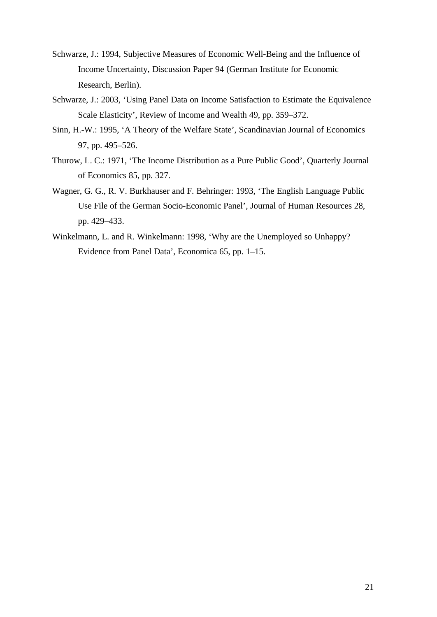- Schwarze, J.: 1994, Subjective Measures of Economic Well-Being and the Influence of Income Uncertainty, Discussion Paper 94 (German Institute for Economic Research, Berlin).
- Schwarze, J.: 2003, 'Using Panel Data on Income Satisfaction to Estimate the Equivalence Scale Elasticity', Review of Income and Wealth 49, pp. 359–372.
- Sinn, H.-W.: 1995, 'A Theory of the Welfare State', Scandinavian Journal of Economics 97, pp. 495–526.
- Thurow, L. C.: 1971, 'The Income Distribution as a Pure Public Good', Quarterly Journal of Economics 85, pp. 327.
- Wagner, G. G., R. V. Burkhauser and F. Behringer: 1993, 'The English Language Public Use File of the German Socio-Economic Panel', Journal of Human Resources 28, pp. 429–433.
- Winkelmann, L. and R. Winkelmann: 1998, 'Why are the Unemployed so Unhappy? Evidence from Panel Data', Economica 65, pp. 1–15.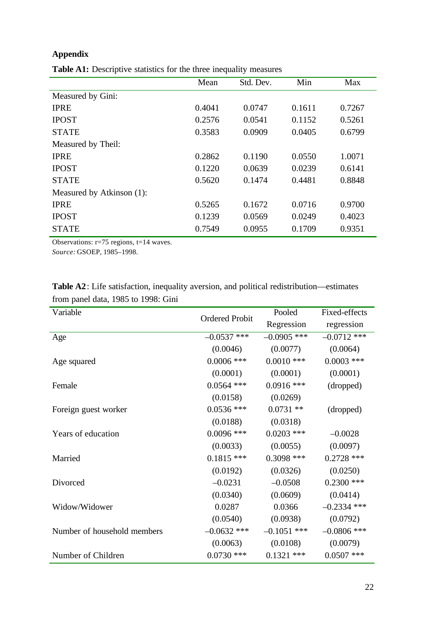### **Appendix**

|                           | Mean   | Std. Dev. | Min    | Max    |
|---------------------------|--------|-----------|--------|--------|
| Measured by Gini:         |        |           |        |        |
| <b>IPRE</b>               | 0.4041 | 0.0747    | 0.1611 | 0.7267 |
| <b>IPOST</b>              | 0.2576 | 0.0541    | 0.1152 | 0.5261 |
| <b>STATE</b>              | 0.3583 | 0.0909    | 0.0405 | 0.6799 |
| Measured by Theil:        |        |           |        |        |
| <b>IPRE</b>               | 0.2862 | 0.1190    | 0.0550 | 1.0071 |
| <b>IPOST</b>              | 0.1220 | 0.0639    | 0.0239 | 0.6141 |
| <b>STATE</b>              | 0.5620 | 0.1474    | 0.4481 | 0.8848 |
| Measured by Atkinson (1): |        |           |        |        |
| <b>IPRE</b>               | 0.5265 | 0.1672    | 0.0716 | 0.9700 |
| <b>IPOST</b>              | 0.1239 | 0.0569    | 0.0249 | 0.4023 |
| <b>STATE</b>              | 0.7549 | 0.0955    | 0.1709 | 0.9351 |

**Table A1:** Descriptive statistics for the three inequality measures

Observations: r=75 regions, t=14 waves. *Source:* GSOEP, 1985–1998.

| Variable                    |                       | Pooled        | Fixed-effects |
|-----------------------------|-----------------------|---------------|---------------|
|                             | <b>Ordered Probit</b> | Regression    | regression    |
| Age                         | $-0.0537$ ***         | $-0.0905$ *** | $-0.0712$ *** |
|                             | (0.0046)              | (0.0077)      | (0.0064)      |
| Age squared                 | $0.0006$ ***          | $0.0010$ ***  | $0.0003$ ***  |
|                             | (0.0001)              | (0.0001)      | (0.0001)      |
| Female                      | $0.0564$ ***          | $0.0916$ ***  | (dropped)     |
|                             | (0.0158)              | (0.0269)      |               |
| Foreign guest worker        | $0.0536$ ***          | $0.0731**$    | (dropped)     |
|                             | (0.0188)              | (0.0318)      |               |
| Years of education          | $0.0096$ ***          | $0.0203$ ***  | $-0.0028$     |
|                             | (0.0033)              | (0.0055)      | (0.0097)      |
| Married                     | $0.1815$ ***          | $0.3098$ ***  | $0.2728$ ***  |
|                             | (0.0192)              | (0.0326)      | (0.0250)      |
| Divorced                    | $-0.0231$             | $-0.0508$     | $0.2300$ ***  |
|                             | (0.0340)              | (0.0609)      | (0.0414)      |
| Widow/Widower               | 0.0287                | 0.0366        | $-0.2334$ *** |
|                             | (0.0540)              | (0.0938)      | (0.0792)      |
| Number of household members | $-0.0632$ ***         | $-0.1051$ *** | $-0.0806$ *** |
|                             | (0.0063)              | (0.0108)      | (0.0079)      |
| Number of Children          | $0.0730$ ***          | $0.1321$ ***  | $0.0507$ ***  |

**Table A2**: Life satisfaction, inequality aversion, and political redistribution—estimates from panel data, 1985 to 1998: Gini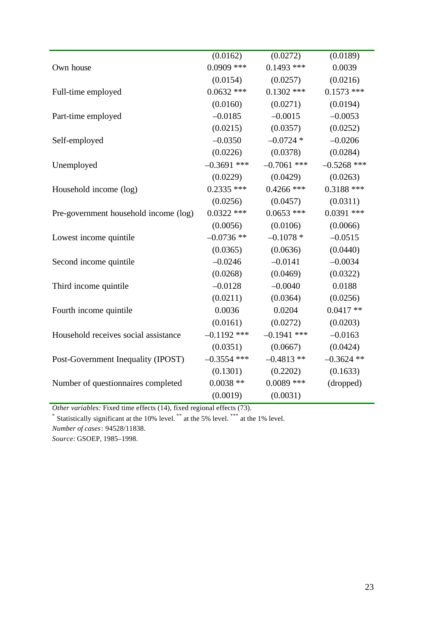|                                       | (0.0162)      | (0.0272)      | (0.0189)      |
|---------------------------------------|---------------|---------------|---------------|
| Own house                             | $0.0909$ ***  | $0.1493$ ***  | 0.0039        |
|                                       | (0.0154)      | (0.0257)      | (0.0216)      |
| Full-time employed                    | $0.0632$ ***  | $0.1302$ ***  | $0.1573$ ***  |
|                                       | (0.0160)      | (0.0271)      | (0.0194)      |
| Part-time employed                    | $-0.0185$     | $-0.0015$     | $-0.0053$     |
|                                       | (0.0215)      | (0.0357)      | (0.0252)      |
| Self-employed                         | $-0.0350$     | $-0.0724$ *   | $-0.0206$     |
|                                       | (0.0226)      | (0.0378)      | (0.0284)      |
| Unemployed                            | $-0.3691$ *** | $-0.7061$ *** | $-0.5268$ *** |
|                                       | (0.0229)      | (0.0429)      | (0.0263)      |
| Household income (log)                | $0.2335$ ***  | $0.4266$ ***  | $0.3188$ ***  |
|                                       | (0.0256)      | (0.0457)      | (0.0311)      |
| Pre-government household income (log) | $0.0322$ ***  | $0.0653$ ***  | $0.0391$ ***  |
|                                       | (0.0056)      | (0.0106)      | (0.0066)      |
| Lowest income quintile                | $-0.0736$ **  | $-0.1078*$    | $-0.0515$     |
|                                       | (0.0365)      | (0.0636)      | (0.0440)      |
| Second income quintile                | $-0.0246$     | $-0.0141$     | $-0.0034$     |
|                                       | (0.0268)      | (0.0469)      | (0.0322)      |
| Third income quintile                 | $-0.0128$     | $-0.0040$     | 0.0188        |
|                                       | (0.0211)      | (0.0364)      | (0.0256)      |
| Fourth income quintile                | 0.0036        | 0.0204        | $0.0417**$    |
|                                       | (0.0161)      | (0.0272)      | (0.0203)      |
| Household receives social assistance  | $-0.1192$ *** | $-0.1941$ *** | $-0.0163$     |
|                                       | (0.0351)      | (0.0667)      | (0.0424)      |
| Post-Government Inequality (IPOST)    | $-0.3554$ *** | $-0.4813**$   | $-0.3624$ **  |
|                                       | (0.1301)      | (0.2202)      | (0.1633)      |
| Number of questionnaires completed    | $0.0038**$    | $0.0089$ ***  | (dropped)     |
|                                       | (0.0019)      | (0.0031)      |               |

*Other variables:* Fixed time effects (14), fixed regional effects (73).

\* Statistically significant at the 10% level. \*\* at the 5% level. \*\*\* at the 1% level.

*Number of cases*: 94528/11838.

*Source:* GSOEP, 1985–1998.